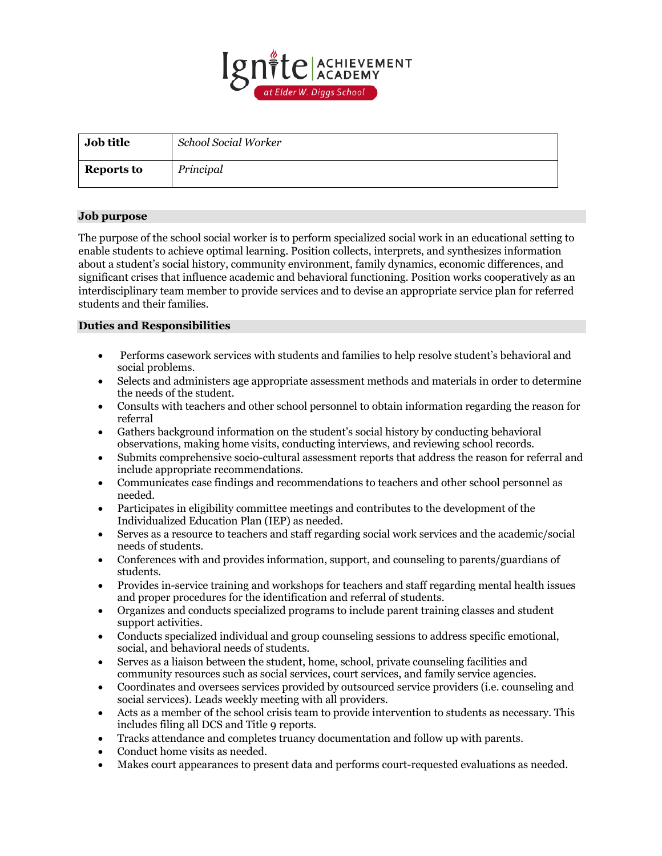

| <b>Job title</b>  | School Social Worker |
|-------------------|----------------------|
| <b>Reports to</b> | Principal            |

## **Job purpose**

The purpose of the school social worker is to perform specialized social work in an educational setting to enable students to achieve optimal learning. Position collects, interprets, and synthesizes information about a student's social history, community environment, family dynamics, economic differences, and significant crises that influence academic and behavioral functioning. Position works cooperatively as an interdisciplinary team member to provide services and to devise an appropriate service plan for referred students and their families.

## **Duties and Responsibilities**

- Performs casework services with students and families to help resolve student's behavioral and social problems.
- Selects and administers age appropriate assessment methods and materials in order to determine the needs of the student.
- Consults with teachers and other school personnel to obtain information regarding the reason for referral
- Gathers background information on the student's social history by conducting behavioral observations, making home visits, conducting interviews, and reviewing school records.
- Submits comprehensive socio-cultural assessment reports that address the reason for referral and include appropriate recommendations.
- Communicates case findings and recommendations to teachers and other school personnel as needed.
- Participates in eligibility committee meetings and contributes to the development of the Individualized Education Plan (IEP) as needed.
- Serves as a resource to teachers and staff regarding social work services and the academic/social needs of students.
- Conferences with and provides information, support, and counseling to parents/guardians of students.
- Provides in-service training and workshops for teachers and staff regarding mental health issues and proper procedures for the identification and referral of students.
- Organizes and conducts specialized programs to include parent training classes and student support activities.
- Conducts specialized individual and group counseling sessions to address specific emotional, social, and behavioral needs of students.
- Serves as a liaison between the student, home, school, private counseling facilities and community resources such as social services, court services, and family service agencies.
- Coordinates and oversees services provided by outsourced service providers (i.e. counseling and social services). Leads weekly meeting with all providers.
- Acts as a member of the school crisis team to provide intervention to students as necessary. This includes filing all DCS and Title 9 reports.
- Tracks attendance and completes truancy documentation and follow up with parents.
- Conduct home visits as needed.
- Makes court appearances to present data and performs court-requested evaluations as needed.